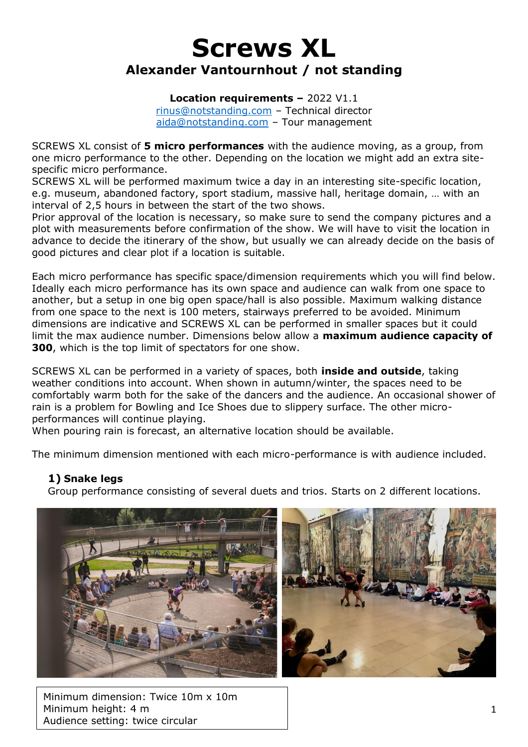# **Screws XL Alexander Vantournhout / not standing**

**Location requirements –** 2022 V1.1

[rinus@notstanding.com](mailto:rinus@notstanding.com) – Technical director [aida@notstanding.com](mailto:aida@notstanding.com) – Tour management

SCREWS XL consist of **5 micro performances** with the audience moving, as a group, from one micro performance to the other. Depending on the location we might add an extra sitespecific micro performance.

SCREWS XL will be performed maximum twice a day in an interesting site-specific location, e.g. museum, abandoned factory, sport stadium, massive hall, heritage domain, … with an interval of 2,5 hours in between the start of the two shows.

Prior approval of the location is necessary, so make sure to send the company pictures and a plot with measurements before confirmation of the show. We will have to visit the location in advance to decide the itinerary of the show, but usually we can already decide on the basis of good pictures and clear plot if a location is suitable.

Each micro performance has specific space/dimension requirements which you will find below. Ideally each micro performance has its own space and audience can walk from one space to another, but a setup in one big open space/hall is also possible. Maximum walking distance from one space to the next is 100 meters, stairways preferred to be avoided. Minimum dimensions are indicative and SCREWS XL can be performed in smaller spaces but it could limit the max audience number. Dimensions below allow a **maximum audience capacity of 300**, which is the top limit of spectators for one show.

SCREWS XL can be performed in a variety of spaces, both **inside and outside**, taking weather conditions into account. When shown in autumn/winter, the spaces need to be comfortably warm both for the sake of the dancers and the audience. An occasional shower of rain is a problem for Bowling and Ice Shoes due to slippery surface. The other microperformances will continue playing.

When pouring rain is forecast, an alternative location should be available.

The minimum dimension mentioned with each micro-performance is with audience included.

### **1) Snake legs**

Group performance consisting of several duets and trios. Starts on 2 different locations.



Minimum dimension: Twice 10m x 10m Minimum height: 4 m Audience setting: twice circular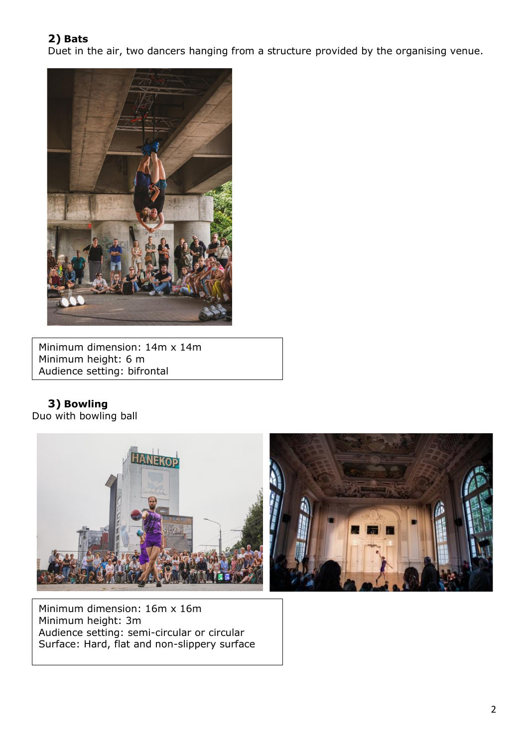## **2) Bats**

Duet in the air, two dancers hanging from a structure provided by the organising venue.



Minimum dimension: 14m x 14m Minimum height: 6 m Audience setting: bifrontal

**3) Bowling**  Duo with bowling ball



Minimum dimension: 16m x 16m Minimum height: 3m Audience setting: semi-circular or circular Surface: Hard, flat and non-slippery surface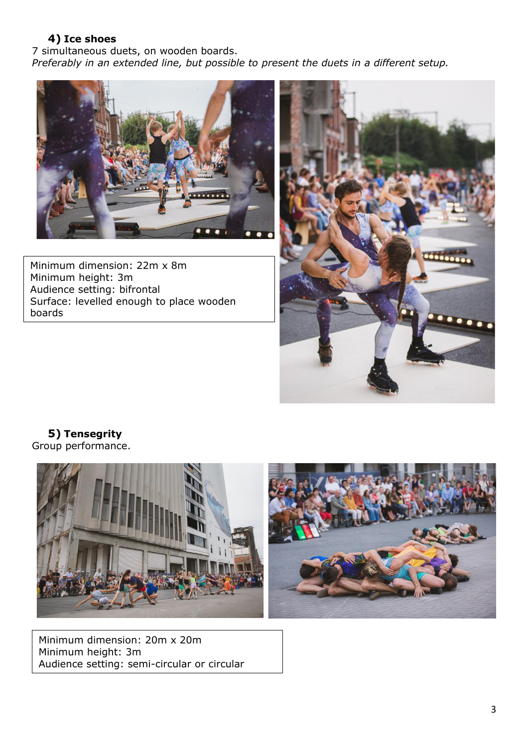## **4) Ice shoes**

7 simultaneous duets, on wooden boards. *Preferably in an extended line, but possible to present the duets in a different setup.*



Minimum dimension: 22m x 8m Minimum height: 3m Audience setting: bifrontal Surface: levelled enough to place wooden boards



**5) Tensegrity** Group performance.



Minimum dimension: 20m x 20m Minimum height: 3m Audience setting: semi-circular or circular